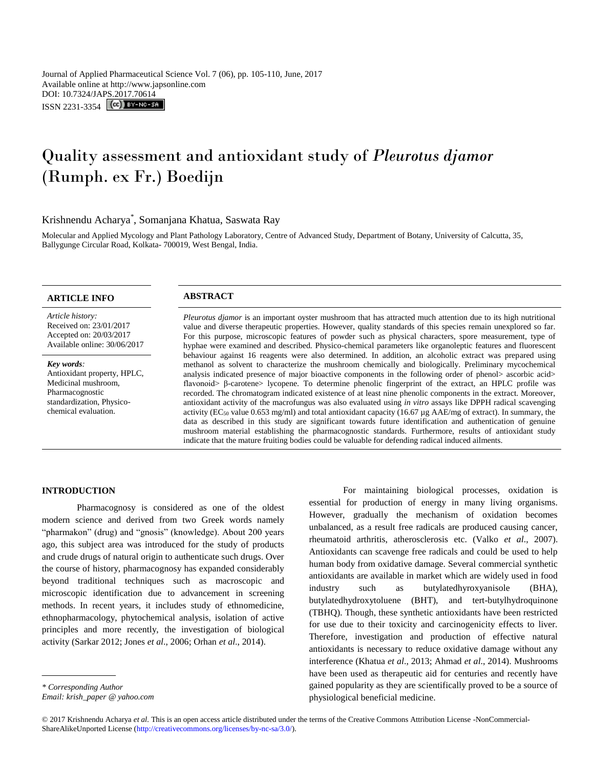Journal of Applied Pharmaceutical Science Vol. 7 (06), pp. 105-110, June, 2017 Available online at http://www.japsonline.com DOI: 10.7324/JAPS.2017.70614 ISSN 2231-3354 **CC**) BY-NC-SA

# Quality assessment and antioxidant study of *Pleurotus djamor* (Rumph. ex Fr.) Boedijn

# Krishnendu Acharya\* , Somanjana Khatua, Saswata Ray

Molecular and Applied Mycology and Plant Pathology Laboratory, Centre of Advanced Study, Department of Botany, University of Calcutta, 35, Ballygunge Circular Road, Kolkata- 700019, West Bengal, India.

# **ARTICLE INFO ABSTRACT**

*Article history:* Received on: 23/01/2017 Accepted on: 20/03/2017 Available online: 30/06/2017

*Key words:*  Antioxidant property, HPLC, Medicinal mushroom, Pharmacognostic standardization, Physicochemical evaluation.

*Pleurotus djamor* is an important oyster mushroom that has attracted much attention due to its high nutritional value and diverse therapeutic properties. However, quality standards of this species remain unexplored so far. For this purpose, microscopic features of powder such as physical characters, spore measurement, type of hyphae were examined and described. Physico-chemical parameters like organoleptic features and fluorescent behaviour against 16 reagents were also determined. In addition, an alcoholic extract was prepared using methanol as solvent to characterize the mushroom chemically and biologically. Preliminary mycochemical analysis indicated presence of major bioactive components in the following order of phenol> ascorbic acid> flavonoid> β-carotene> lycopene. To determine phenolic fingerprint of the extract, an HPLC profile was recorded. The chromatogram indicated existence of at least nine phenolic components in the extract. Moreover, antioxidant activity of the macrofungus was also evaluated using *in vitro* assays like DPPH radical scavenging activity (EC<sub>50</sub> value 0.653 mg/ml) and total antioxidant capacity (16.67 µg AAE/mg of extract). In summary, the data as described in this study are significant towards future identification and authentication of genuine mushroom material establishing the pharmacognostic standards. Furthermore, results of antioxidant study indicate that the mature fruiting bodies could be valuable for defending radical induced ailments.

# **INTRODUCTION**

Pharmacognosy is considered as one of the oldest modern science and derived from two Greek words namely "pharmakon" (drug) and "gnosis" (knowledge). About 200 years ago, this subject area was introduced for the study of products and crude drugs of natural origin to authenticate such drugs. Over the course of history, pharmacognosy has expanded considerably beyond traditional techniques such as macroscopic and microscopic identification due to advancement in screening methods. In recent years, it includes study of ethnomedicine, ethnopharmacology, phytochemical analysis, isolation of active principles and more recently, the investigation of biological activity (Sarkar 2012; Jones *et al*., 2006; Orhan *et al*., 2014).

However, gradually the mechanism of oxidation becomes unbalanced, as a result free radicals are produced causing cancer, rheumatoid arthritis, atherosclerosis etc. (Valko *et al*., 2007). Antioxidants can scavenge free radicals and could be used to help human body from oxidative damage. Several commercial synthetic antioxidants are available in market which are widely used in food industry such as butylatedhyroxyanisole (BHA), butylatedhydroxytoluene (BHT), and tert-butylhydroquinone (TBHQ). Though, these synthetic antioxidants have been restricted for use due to their toxicity and carcinogenicity effects to liver. Therefore, investigation and production of effective natural antioxidants is necessary to reduce oxidative damage without any interference (Khatua *et al*., 2013; Ahmad *et al*., 2014). Mushrooms have been used as therapeutic aid for centuries and recently have gained popularity as they are scientifically proved to be a source of physiological beneficial medicine.

For maintaining biological processes, oxidation is

essential for production of energy in many living organisms.

*Email: krish\_paper @ yahoo.com* 

<sup>© 2017</sup> Krishnendu Acharya *et al.* This is an open access article distributed under the terms of the Creative Commons Attribution License -NonCommercial-ShareAlikeUnported License (http://creativecommons.org/licenses/by-nc-sa/3.0/).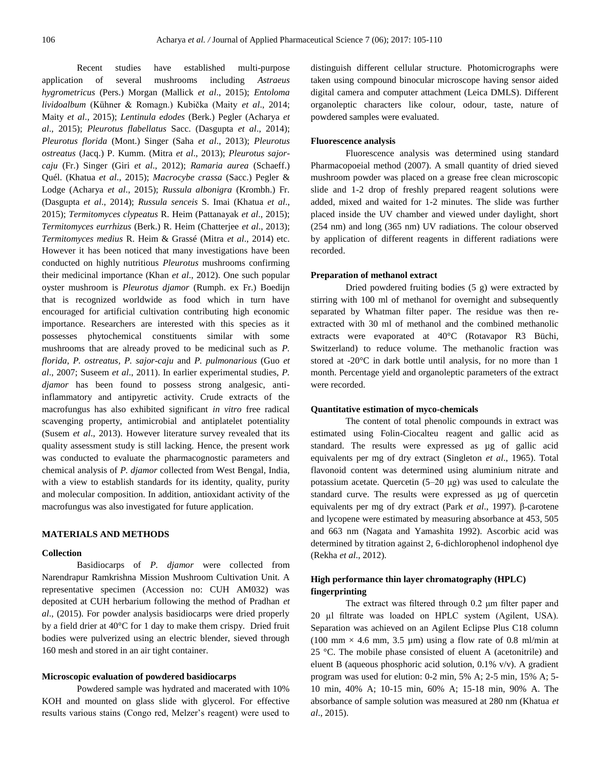Recent studies have established multi-purpose application of several mushrooms including *Astraeus hygrometricus* (Pers.) Morgan (Mallick *et al*., 2015); *Entoloma lividoalbum* (Kühner & Romagn.) Kubička (Maity *et al*., 2014; Maity *et al*., 2015); *Lentinula edodes* (Berk.) Pegler (Acharya *et al*., 2015); *Pleurotus flabellatus* Sacc. (Dasgupta *et al*., 2014); *Pleurotus florida* (Mont.) Singer (Saha *et al*., 2013); *Pleurotus ostreatus* (Jacq.) P. Kumm. (Mitra *et al*., 2013); *Pleurotus sajorcaju* (Fr.) Singer (Giri *et al*., 2012); *Ramaria aurea* (Schaeff.) Quél. (Khatua *et al*., 2015); *Macrocybe crassa* (Sacc.) Pegler & Lodge (Acharya *et al*., 2015); *Russula albonigra* (Krombh.) Fr. (Dasgupta *et al*., 2014); *Russula senceis* S. Imai (Khatua *et al*., 2015); *Termitomyces clypeatus* R. Heim (Pattanayak *et al*., 2015); *Termitomyces eurrhizus* (Berk.) R. Heim (Chatterjee *et al*., 2013); *Termitomyces medius* R. Heim & Grassé (Mitra *et al*., 2014) etc. However it has been noticed that many investigations have been conducted on highly nutritious *Pleurotus* mushrooms confirming their medicinal importance (Khan *et al*., 2012). One such popular oyster mushroom is *Pleurotus djamor* (Rumph. ex Fr.) Boedijn that is recognized worldwide as food which in turn have encouraged for artificial cultivation contributing high economic importance. Researchers are interested with this species as it possesses phytochemical constituents similar with some mushrooms that are already proved to be medicinal such as *P. florida*, *P. ostreatus, P. sajor-caju* and *P. pulmonarious* (Guo *et al*., 2007; Suseem *et al*., 2011). In earlier experimental studies, *P. djamor* has been found to possess strong analgesic, antiinflammatory and antipyretic activity. Crude extracts of the macrofungus has also exhibited significant *in vitro* free radical scavenging property, antimicrobial and antiplatelet potentiality (Susem *et al*., 2013). However literature survey revealed that its quality assessment study is still lacking. Hence, the present work was conducted to evaluate the pharmacognostic parameters and chemical analysis of *P. djamor* collected from West Bengal, India, with a view to establish standards for its identity, quality, purity and molecular composition. In addition, antioxidant activity of the macrofungus was also investigated for future application.

# **MATERIALS AND METHODS**

#### **Collection**

Basidiocarps of *P. djamor* were collected from Narendrapur Ramkrishna Mission Mushroom Cultivation Unit. A representative specimen (Accession no: CUH AM032) was deposited at CUH herbarium following the method of Pradhan *et al*., (2015). For powder analysis basidiocarps were dried properly by a field drier at 40°C for 1 day to make them crispy. Dried fruit bodies were pulverized using an electric blender, sieved through 160 mesh and stored in an air tight container.

# **Microscopic evaluation of powdered basidiocarps**

Powdered sample was hydrated and macerated with 10% KOH and mounted on glass slide with glycerol. For effective results various stains (Congo red, Melzer's reagent) were used to distinguish different cellular structure. Photomicrographs were taken using compound binocular microscope having sensor aided digital camera and computer attachment (Leica DMLS). Different organoleptic characters like colour, odour, taste, nature of powdered samples were evaluated.

#### **Fluorescence analysis**

Fluorescence analysis was determined using standard Pharmacopoeial method (2007). A small quantity of dried sieved mushroom powder was placed on a grease free clean microscopic slide and 1-2 drop of freshly prepared reagent solutions were added, mixed and waited for 1-2 minutes. The slide was further placed inside the UV chamber and viewed under daylight, short (254 nm) and long (365 nm) UV radiations. The colour observed by application of different reagents in different radiations were recorded.

#### **Preparation of methanol extract**

Dried powdered fruiting bodies (5 g) were extracted by stirring with 100 ml of methanol for overnight and subsequently separated by Whatman filter paper. The residue was then reextracted with 30 ml of methanol and the combined methanolic extracts were evaporated at 40°C (Rotavapor R3 Büchi, Switzerland) to reduce volume. The methanolic fraction was stored at -20°C in dark bottle until analysis, for no more than 1 month. Percentage yield and organoleptic parameters of the extract were recorded.

### **Quantitative estimation of myco-chemicals**

The content of total phenolic compounds in extract was estimated using Folin-Ciocalteu reagent and gallic acid as standard. The results were expressed as  $\mu$ g of gallic acid equivalents per mg of dry extract (Singleton *et al*., 1965). Total flavonoid content was determined using aluminium nitrate and potassium acetate. Quercetin (5–20 μg) was used to calculate the standard curve. The results were expressed as µg of quercetin equivalents per mg of dry extract (Park *et al*., 1997). β-carotene and lycopene were estimated by measuring absorbance at 453, 505 and 663 nm (Nagata and Yamashita 1992). Ascorbic acid was determined by titration against 2, 6-dichlorophenol indophenol dye (Rekha *et al*., 2012).

# **High performance thin layer chromatography (HPLC) fingerprinting**

The extract was filtered through 0.2 μm filter paper and 20 µl filtrate was loaded on HPLC system (Agilent, USA). Separation was achieved on an Agilent Eclipse Plus C18 column (100 mm  $\times$  4.6 mm, 3.5 µm) using a flow rate of 0.8 ml/min at 25 °C. The mobile phase consisted of eluent A (acetonitrile) and eluent B (aqueous phosphoric acid solution, 0.1% v/v). A gradient program was used for elution: 0-2 min, 5% A; 2-5 min, 15% A; 5- 10 min, 40% A; 10-15 min, 60% A; 15-18 min, 90% A. The absorbance of sample solution was measured at 280 nm (Khatua *et al*., 2015).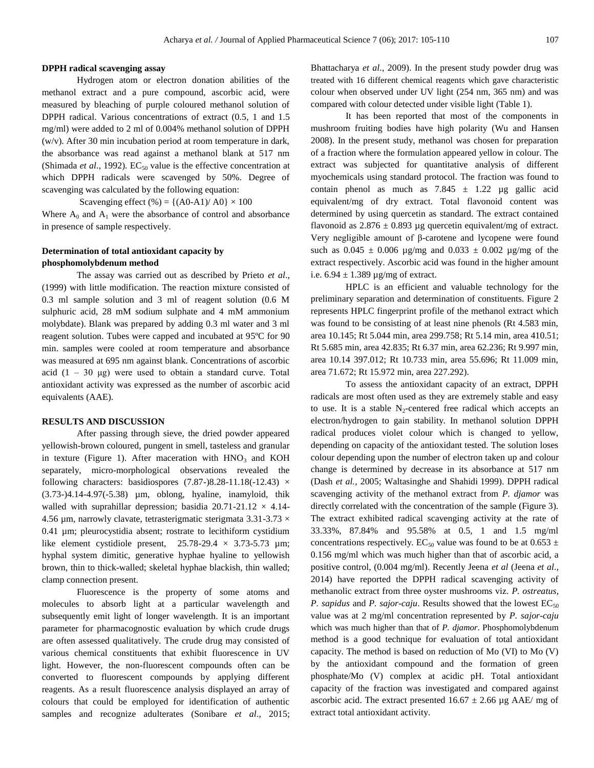#### **DPPH radical scavenging assay**

Hydrogen atom or electron donation abilities of the methanol extract and a pure compound, ascorbic acid, were measured by bleaching of purple coloured methanol solution of DPPH radical. Various concentrations of extract (0.5, 1 and 1.5 mg/ml) were added to 2 ml of 0.004% methanol solution of DPPH (w/v). After 30 min incubation period at room temperature in dark, the absorbance was read against a methanol blank at 517 nm (Shimada *et al.*, 1992).  $EC_{50}$  value is the effective concentration at which DPPH radicals were scavenged by 50%. Degree of scavenging was calculated by the following equation:

Scavenging effect  $% = \{(A0-A1)/A0\} \times 100$ 

Where  $A_0$  and  $A_1$  were the absorbance of control and absorbance in presence of sample respectively.

# **Determination of total antioxidant capacity by phosphomolybdenum method**

The assay was carried out as described by Prieto *et al*., (1999) with little modification. The reaction mixture consisted of 0.3 ml sample solution and 3 ml of reagent solution (0.6 M sulphuric acid, 28 mM sodium sulphate and 4 mM ammonium molybdate). Blank was prepared by adding 0.3 ml water and 3 ml reagent solution. Tubes were capped and incubated at 95ºC for 90 min. samples were cooled at room temperature and absorbance was measured at 695 nm against blank. Concentrations of ascorbic acid  $(1 - 30 \mu g)$  were used to obtain a standard curve. Total antioxidant activity was expressed as the number of ascorbic acid equivalents (AAE).

# **RESULTS AND DISCUSSION**

After passing through sieve, the dried powder appeared yellowish-brown coloured, pungent in smell, tasteless and granular in texture (Figure 1). After maceration with  $HNO<sub>3</sub>$  and KOH separately, micro-morphological observations revealed the following characters: basidiospores  $(7.87-)8.28-11.18(-12.43) \times$ (3.73-)4.14-4.97(-5.38) µm, oblong, hyaline, inamyloid, thik walled with suprahillar depression; basidia  $20.71-21.12 \times 4.14$ -4.56 µm, narrowly clavate, tetrasterigmatic sterigmata  $3.31$ - $3.73 \times$ 0.41 µm; pleurocystidia absent; rostrate to lecithiform cystidium like element cystidiole present,  $25.78-29.4 \times 3.73-5.73 \mu m$ ; hyphal system dimitic, generative hyphae hyaline to yellowish brown, thin to thick-walled; skeletal hyphae blackish, thin walled; clamp connection present.

Fluorescence is the property of some atoms and molecules to absorb light at a particular wavelength and subsequently emit light of longer wavelength. It is an important parameter for pharmacognostic evaluation by which crude drugs are often assessed qualitatively. The crude drug may consisted of various chemical constituents that exhibit fluorescence in UV light. However, the non-fluorescent compounds often can be converted to fluorescent compounds by applying different reagents. As a result fluorescence analysis displayed an array of colours that could be employed for identification of authentic samples and recognize adulterates (Sonibare *et al*., 2015; Bhattacharya *et al*., 2009). In the present study powder drug was treated with 16 different chemical reagents which gave characteristic colour when observed under UV light (254 nm, 365 nm) and was compared with colour detected under visible light (Table 1).

It has been reported that most of the components in mushroom fruiting bodies have high polarity (Wu and Hansen 2008). In the present study, methanol was chosen for preparation of a fraction where the formulation appeared yellow in colour. The extract was subjected for quantitative analysis of different myochemicals using standard protocol. The fraction was found to contain phenol as much as  $7.845 \pm 1.22$  ug gallic acid equivalent/mg of dry extract. Total flavonoid content was determined by using quercetin as standard. The extract contained flavonoid as  $2.876 \pm 0.893$  ug quercetin equivalent/mg of extract. Very negligible amount of β-carotene and lycopene were found such as  $0.045 \pm 0.006$  µg/mg and  $0.033 \pm 0.002$  µg/mg of the extract respectively. Ascorbic acid was found in the higher amount i.e.  $6.94 \pm 1.389$  µg/mg of extract.

HPLC is an efficient and valuable technology for the preliminary separation and determination of constituents. Figure 2 represents HPLC fingerprint profile of the methanol extract which was found to be consisting of at least nine phenols (Rt 4.583 min, area 10.145; Rt 5.044 min, area 299.758; Rt 5.14 min, area 410.51; Rt 5.685 min, area 42.835; Rt 6.37 min, area 62.236; Rt 9.997 min, area 10.14 397.012; Rt 10.733 min, area 55.696; Rt 11.009 min, area 71.672; Rt 15.972 min, area 227.292).

To assess the antioxidant capacity of an extract, DPPH radicals are most often used as they are extremely stable and easy to use. It is a stable  $N_2$ -centered free radical which accepts an electron/hydrogen to gain stability. In methanol solution DPPH radical produces violet colour which is changed to yellow, depending on capacity of the antioxidant tested. The solution loses colour depending upon the number of electron taken up and colour change is determined by decrease in its absorbance at 517 nm (Dash *et al.,* 2005; Waltasinghe and Shahidi 1999). DPPH radical scavenging activity of the methanol extract from *P. djamor* was directly correlated with the concentration of the sample (Figure 3). The extract exhibited radical scavenging activity at the rate of 33.33%, 87.84% and 95.58% at 0.5, 1 and 1.5 mg/ml concentrations respectively. EC<sub>50</sub> value was found to be at 0.653  $\pm$ 0.156 mg/ml which was much higher than that of ascorbic acid, a positive control, (0.004 mg/ml). Recently Jeena *et al* (Jeena *et al*., 2014) have reported the DPPH radical scavenging activity of methanolic extract from three oyster mushrooms viz. *P. ostreatus*, *P. sapidus* and *P. sajor-caju*. Results showed that the lowest  $EC_{50}$ value was at 2 mg/ml concentration represented by *P. sajor-caju* which was much higher than that of *P. djamor*. Phosphomolybdenum method is a good technique for evaluation of total antioxidant capacity. The method is based on reduction of Mo (VI) to Mo (V) by the antioxidant compound and the formation of green phosphate/Mo (V) complex at acidic pH. Total antioxidant capacity of the fraction was investigated and compared against ascorbic acid. The extract presented  $16.67 \pm 2.66$  µg AAE/ mg of extract total antioxidant activity.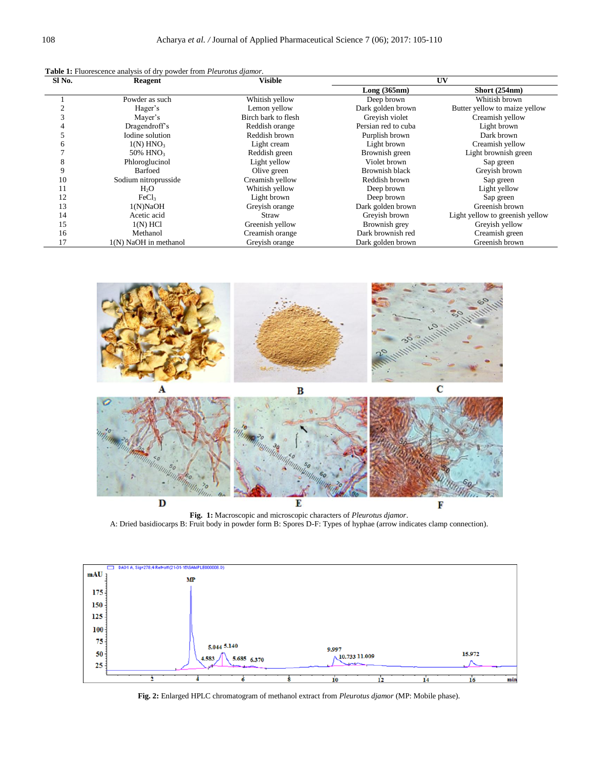|  |  |  |  | <b>Table 1:</b> Fluorescence analysis of dry powder from <i>Pleurotus djamor</i> . |  |
|--|--|--|--|------------------------------------------------------------------------------------|--|
|  |  |  |  |                                                                                    |  |

| Sl No. | <b>Reagent</b>          | <b>Visible</b>      | UV                  |                                 |  |
|--------|-------------------------|---------------------|---------------------|---------------------------------|--|
|        |                         |                     | Long(365nm)         | Short (254nm)                   |  |
|        | Powder as such          | Whitish yellow      | Deep brown          | Whitish brown                   |  |
|        | Hager's                 | Lemon yellow        | Dark golden brown   | Butter yellow to maize yellow   |  |
|        | Mayer's                 | Birch bark to flesh | Grevish violet      | Creamish yellow                 |  |
|        | Dragendroff's           | Reddish orange      | Persian red to cuba | Light brown                     |  |
|        | Iodine solution         | Reddish brown       | Purplish brown      | Dark brown                      |  |
|        | $1(N)$ HNO <sub>3</sub> | Light cream         | Light brown         | Creamish yellow                 |  |
|        | 50% HNO <sub>3</sub>    | Reddish green       | Brownish green      | Light brownish green            |  |
|        | Phloroglucinol          | Light yellow        | Violet brown        | Sap green                       |  |
| 9      | Barfoed                 | Olive green         | Brownish black      | Greyish brown                   |  |
| 10     | Sodium nitroprusside    | Creamish yellow     | Reddish brown       | Sap green                       |  |
| 11     | $H_2O$                  | Whitish yellow      | Deep brown          | Light yellow                    |  |
| 12     | FeCl <sub>3</sub>       | Light brown         | Deep brown          | Sap green                       |  |
| 13     | 1(N)NaOH                | Greyish orange      | Dark golden brown   | Greenish brown                  |  |
| 14     | Acetic acid             | Straw               | Grevish brown       | Light yellow to greenish yellow |  |
| 15     | $1(N)$ HCl              | Greenish yellow     | Brownish grey       | Greyish yellow                  |  |
| 16     | Methanol                | Creamish orange     | Dark brownish red   | Creamish green                  |  |
| 17     | 1(N) NaOH in methanol   | Greyish orange      | Dark golden brown   | Greenish brown                  |  |



**Fig. 1:** Macroscopic and microscopic characters of *Pleurotus djamor*. A: Dried basidiocarps B: Fruit body in powder form B: Spores D-F: Types of hyphae (arrow indicates clamp connection).



**Fig. 2:** Enlarged HPLC chromatogram of methanol extract from *Pleurotus djamor* (MP: Mobile phase).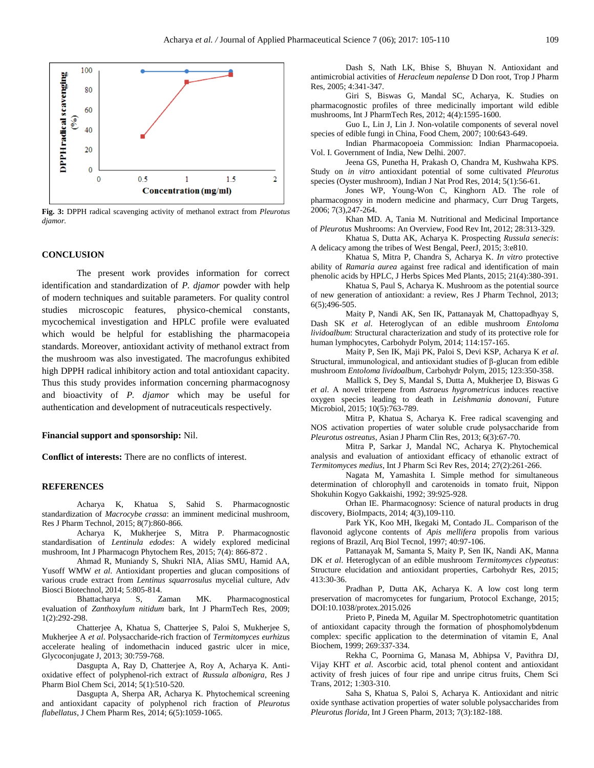

**Fig. 3:** DPPH radical scavenging activity of methanol extract from *Pleurotus djamor.*

#### **CONCLUSION**

The present work provides information for correct identification and standardization of *P. djamor* powder with help of modern techniques and suitable parameters. For quality control studies microscopic features, physico-chemical constants, mycochemical investigation and HPLC profile were evaluated which would be helpful for establishing the pharmacopeia standards. Moreover, antioxidant activity of methanol extract from the mushroom was also investigated. The macrofungus exhibited high DPPH radical inhibitory action and total antioxidant capacity. Thus this study provides information concerning pharmacognosy and bioactivity of *P. djamor* which may be useful for authentication and development of nutraceuticals respectively.

#### **Financial support and sponsorship:** Nil.

**Conflict of interests:** There are no conflicts of interest.

#### **REFERENCES**

Acharya K, Khatua S, Sahid S. Pharmacognostic standardization of *Macrocybe crassa*: an imminent medicinal mushroom, Res J Pharm Technol, 2015; 8(7):860-866.

Acharya K, Mukherjee S, Mitra P. Pharmacognostic standardisation of *Lentinula edodes*: A widely explored medicinal mushroom, Int J Pharmacogn Phytochem Res, 2015; 7(4): 866-872 .

Ahmad R, Muniandy S, Shukri NIA, Alias SMU, Hamid AA, Yusoff WMW *et al*. Antioxidant properties and glucan compositions of various crude extract from *Lentinus squarrosulus* mycelial culture, Adv Biosci Biotechnol, 2014; 5:805-814.

Bhattacharya S, Zaman MK. Pharmacognostical evaluation of *Zanthoxylum nitidum* bark, Int J PharmTech Res, 2009; 1(2):292-298.

Chatterjee A, Khatua S, Chatterjee S, Paloi S, Mukherjee S, Mukherjee A *et al*. Polysaccharide-rich fraction of *Termitomyces eurhizus* accelerate healing of indomethacin induced gastric ulcer in mice, Glycoconjugate J, 2013; 30:759-768.

Dasgupta A, Ray D, Chatterjee A, Roy A, Acharya K. Antioxidative effect of polyphenol-rich extract of *Russula albonigra*, Res J Pharm Biol Chem Sci, 2014; 5(1):510-520.

Dasgupta A, Sherpa AR, Acharya K. Phytochemical screening and antioxidant capacity of polyphenol rich fraction of *Pleurotus flabellatus*, J Chem Pharm Res, 2014; 6(5):1059-1065.

Dash S, Nath LK, Bhise S, Bhuyan N. Antioxidant and antimicrobial activities of *Heracleum nepalense* D Don root, Trop J Pharm Res, 2005; 4:341-347.

Giri S, Biswas G, Mandal SC, Acharya, K. Studies on pharmacognostic profiles of three medicinally important wild edible mushrooms, Int J PharmTech Res, 2012; 4(4):1595-1600.

Guo L, Lin J, Lin J. Non-volatile components of several novel species of edible fungi in China, Food Chem, 2007; 100:643-649.

Indian Pharmacopoeia Commission: Indian Pharmacopoeia. Vol. I. Government of India, New Delhi. 2007.

Jeena GS, Punetha H, Prakash O, Chandra M, Kushwaha KPS. Study on *in vitro* antioxidant potential of some cultivated *Pleurotus* species (Oyster mushroom), Indian J Nat Prod Res, 2014; 5(1):56-61.

Jones WP, Young-Won C, Kinghorn AD. The role of pharmacognosy in modern medicine and pharmacy, Curr Drug Targets, 2006; 7(3),247-264.

Khan MD. A, Tania M. Nutritional and Medicinal Importance of *Pleurotus* Mushrooms: An Overview, Food Rev Int, 2012; 28:313-329.

Khatua S, Dutta AK, Acharya K. Prospecting *Russula senecis*: A delicacy among the tribes of West Bengal, PeerJ, 2015; 3:e810.

Khatua S, Mitra P, Chandra S, Acharya K. *In vitro* protective ability of *Ramaria aurea* against free radical and identification of main phenolic acids by HPLC, J Herbs Spices Med Plants, 2015; 21(4):380-391.

Khatua S, Paul S, Acharya K. Mushroom as the potential source of new generation of antioxidant: a review, Res J Pharm Technol, 2013; 6(5);496-505.

Maity P, Nandi AK, Sen IK, Pattanayak M, Chattopadhyay S, Dash SK *et al*. Heteroglycan of an edible mushroom *Entoloma lividoalbum*: Structural characterization and study of its protective role for human lymphocytes, Carbohydr Polym, 2014; 114:157-165.

Maity P, Sen IK, Maji PK, Paloi S, Devi KSP, Acharya K *et al*. Structural, immunological, and antioxidant studies of β-glucan from edible mushroom *Entoloma lividoalbum*, Carbohydr Polym, 2015; 123:350-358.

Mallick S, Dey S, Mandal S, Dutta A, Mukherjee D, Biswas G *et al*. A novel triterpene from *Astraeus hygrometricus* induces reactive oxygen species leading to death in *Leishmania donovani*, Future Microbiol, 2015; 10(5):763-789.

Mitra P, Khatua S, Acharya K. Free radical scavenging and NOS activation properties of water soluble crude polysaccharide from *Pleurotus ostreatus*, Asian J Pharm Clin Res, 2013; 6(3):67-70.

Mitra P, Sarkar J, Mandal NC, Acharya K. Phytochemical analysis and evaluation of antioxidant efficacy of ethanolic extract of *Termitomyces medius*, Int J Pharm Sci Rev Res, 2014; 27(2):261-266.

Nagata M, Yamashita I. Simple method for simultaneous determination of chlorophyll and carotenoids in tomato fruit, Nippon Shokuhin Kogyo Gakkaishi, 1992; 39:925-928.

Orhan IE. Pharmacognosy: Science of natural products in drug discovery, BioImpacts, 2014; 4(3),109-110.

Park YK, Koo MH, Ikegaki M, Contado JL. Comparison of the flavonoid aglycone contents of *Apis mellifera* propolis from various regions of Brazil, Arq Biol Tecnol, 1997; 40:97-106.

Pattanayak M, Samanta S, Maity P, Sen IK, Nandi AK, Manna DK *et al*. Heteroglycan of an edible mushroom *Termitomyces clypeatus*: Structure elucidation and antioxidant properties, Carbohydr Res, 2015; 413:30-36.

Pradhan P, Dutta AK, Acharya K. A low cost long term preservation of macromycetes for fungarium, Protocol Exchange, 2015; DOI:10.1038/protex.2015.026

Prieto P, Pineda M, Aguilar M. Spectrophotometric quantitation of antioxidant capacity through the formation of phosphomolybdenum complex: specific application to the determination of vitamin E, Anal Biochem, 1999; 269:337-334.

Rekha C, Poornima G, Manasa M, Abhipsa V, Pavithra DJ, Vijay KHT *et al*. Ascorbic acid, total phenol content and antioxidant activity of fresh juices of four ripe and unripe citrus fruits, Chem Sci Trans, 2012; 1:303-310.

Saha S, Khatua S, Paloi S, Acharya K. Antioxidant and nitric oxide synthase activation properties of water soluble polysaccharides from *Pleurotus florida*, Int J Green Pharm, 2013; 7(3):182-188.